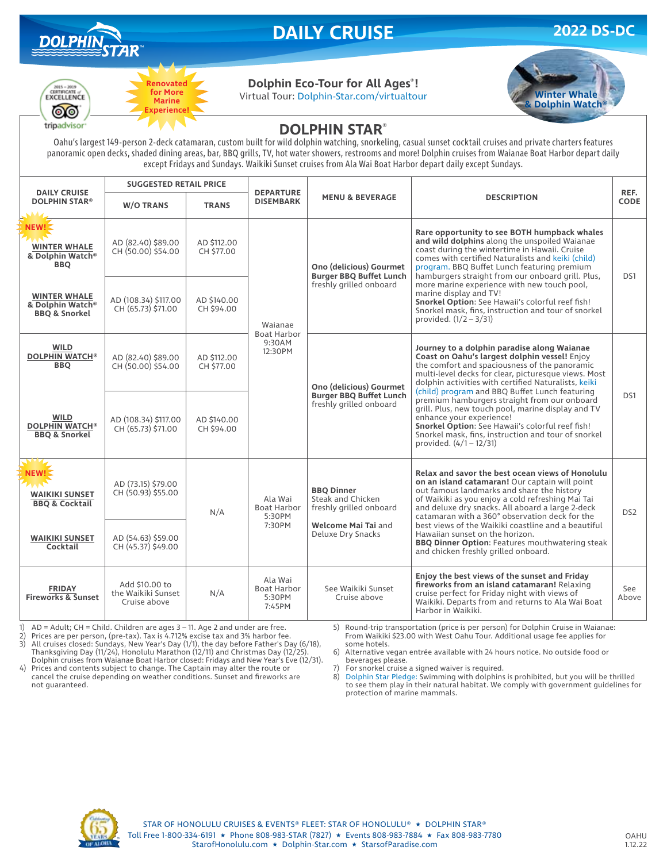

**Renovated for More Marine Experience!**

# **DAILY CRUISE 2022 DS-DC**



#### **Dolphin Eco-Tour for All Ages® !**

Virtual Tour: Dolphin-Star.com/virtualtour **Winter Whale** 



### **DOLPHIN STAR**®

Oahu's largest 149-person 2-deck catamaran, custom built for wild dolphin watching, snorkeling, casual sunset cocktail cruises and private charters features panoramic open decks, shaded dining areas, bar, BBQ grills, TV, hot water showers, restrooms and more! Dolphin cruises from Waianae Boat Harbor depart daily except Fridays and Sundays. Waikiki Sunset cruises from Ala Wai Boat Harbor depart daily except Sundays.

| <b>DAILY CRUISE</b><br><b>DOLPHIN STAR®</b>                               | <b>SUGGESTED RETAIL PRICE</b>                        |                           |                                                   |                                                                                      |                                                                                                                                                                                                                                                                                                                                                                                                                                                                                                                                                                                           |                     |
|---------------------------------------------------------------------------|------------------------------------------------------|---------------------------|---------------------------------------------------|--------------------------------------------------------------------------------------|-------------------------------------------------------------------------------------------------------------------------------------------------------------------------------------------------------------------------------------------------------------------------------------------------------------------------------------------------------------------------------------------------------------------------------------------------------------------------------------------------------------------------------------------------------------------------------------------|---------------------|
|                                                                           | <b>W/O TRANS</b>                                     | <b>TRANS</b>              | <b>DEPARTURE</b><br><b>DISEMBARK</b>              | <b>MENU &amp; BEVERAGE</b>                                                           | <b>DESCRIPTION</b>                                                                                                                                                                                                                                                                                                                                                                                                                                                                                                                                                                        | REF.<br><b>CODE</b> |
| NEW!<br><b>WINTER WHALE</b><br>& Dolphin Watch <sup>®</sup><br><b>BBQ</b> | AD (82.40) \$89.00<br>CH (50.00) \$54.00             | AD \$112.00<br>CH \$77.00 | Waianae<br>Boat Harbor<br>9:30AM<br>12:30PM       | Ono (delicious) Gourmet<br><b>Burger BBQ Buffet Lunch</b><br>freshly grilled onboard | Rare opportunity to see BOTH humpback whales<br>and wild dolphins along the unspoiled Waianae<br>coast during the wintertime in Hawaii. Cruise<br>comes with certified Naturalists and keiki (child)<br>program. BBQ Buffet Lunch featuring premium<br>hamburgers straight from our onboard grill. Plus,<br>more marine experience with new touch pool,<br>marine display and TV!<br>Snorkel Option: See Hawaii's colorful reef fish!<br>Snorkel mask, fins, instruction and tour of snorkel<br>provided. $(1/2 - 3/31)$                                                                  | DS1                 |
| <b>WINTER WHALE</b><br>& Dolphin Watch®<br><b>BBQ &amp; Snorkel</b>       | AD (108.34) \$117.00<br>CH (65.73) \$71.00           | AD \$140.00<br>CH \$94.00 |                                                   |                                                                                      |                                                                                                                                                                                                                                                                                                                                                                                                                                                                                                                                                                                           |                     |
| <b>WILD</b><br><b>DOLPHIN WATCH®</b><br><b>BBO</b>                        | AD (82.40) \$89.00<br>CH (50.00) \$54.00             | AD \$112.00<br>CH \$77.00 |                                                   | Ono (delicious) Gourmet<br><b>Burger BBQ Buffet Lunch</b><br>freshly grilled onboard | Journey to a dolphin paradise along Waianae<br>Coast on Oahu's largest dolphin vessel! Enjoy<br>the comfort and spaciousness of the panoramic<br>multi-level decks for clear, picturesque views. Most<br>dolphin activities with certified Naturalists, keiki<br>(child) program and BBQ Buffet Lunch featuring<br>premium hamburgers straight from our onboard<br>grill. Plus, new touch pool, marine display and TV<br>enhance your experience!<br>Snorkel Option: See Hawaii's colorful reef fish!<br>Snorkel mask, fins, instruction and tour of snorkel<br>provided. $(4/1 - 12/31)$ | D <sub>S1</sub>     |
| <b>WILD</b><br><b>DOLPHIN WATCH®</b><br><b>BBQ &amp; Snorkel</b>          | AD (108.34) \$117.00<br>CH (65.73) \$71.00           | AD \$140.00<br>CH \$94.00 |                                                   |                                                                                      |                                                                                                                                                                                                                                                                                                                                                                                                                                                                                                                                                                                           |                     |
| NEW!<br><b>WAIKIKI SUNSET</b><br><b>BBQ &amp; Cocktail</b>                | AD (73.15) \$79.00<br>CH (50.93) \$55.00             | N/A                       | Ala Wai<br><b>Boat Harbor</b><br>5:30PM           | <b>BBQ Dinner</b><br>Steak and Chicken<br>freshly grilled onboard                    | Relax and savor the best ocean views of Honolulu<br>on an island catamaran! Our captain will point<br>out famous landmarks and share the history<br>of Waikiki as you enjoy a cold refreshing Mai Tai<br>and deluxe dry snacks. All aboard a large 2-deck<br>catamaran with a 360° observation deck for the<br>best views of the Waikiki coastline and a beautiful<br>Hawaiian sunset on the horizon.<br><b>BBQ Dinner Option: Features mouthwatering steak</b><br>and chicken freshly grilled onboard.                                                                                   | DS <sub>2</sub>     |
| <b>WAIKIKI SUNSET</b><br>Cocktail                                         | AD (54.63) \$59.00<br>CH (45.37) \$49.00             |                           | 7:30PM                                            | Welcome Mai Tai and<br>Deluxe Dry Snacks                                             |                                                                                                                                                                                                                                                                                                                                                                                                                                                                                                                                                                                           |                     |
| <b>FRIDAY</b><br><b>Fireworks &amp; Sunset</b>                            | Add \$10,00 to<br>the Waikiki Sunset<br>Cruise above | N/A                       | Ala Wai<br><b>Boat Harbor</b><br>5:30PM<br>7:45PM | See Waikiki Sunset<br>Cruise above                                                   | Enjoy the best views of the sunset and Friday<br>fireworks from an island catamaran! Relaxing<br>cruise perfect for Friday night with views of<br>Waikiki. Departs from and returns to Ala Wai Boat<br>Harbor in Waikiki.                                                                                                                                                                                                                                                                                                                                                                 | See<br>Above        |

1) AD = Adult; CH = Child. Children are ages 3 – 11. Age 2 and under are free. 2) Prices are per person, (pre-tax). Tax is 4.712% excise tax and 3% harbor fee.

4) Prices and contents subject to change. The Captain may alter the route or cancel the cruise depending on weather conditions. Sunset and fireworks are

3) All cruises closed: Sundays, New Year's Day (1/1), the day before Father's Day (6/18), Thanksgiving Day (11/24), Honolulu Marathon (12/11) and Christmas Day (12/25).

5) Round-trip transportation (price is per person) for Dolphin Cruise in Waianae: From Waikiki \$23.00 with West Oahu Tour. Additional usage fee applies for some hotels.

Dolphin cruises from Waianae Boat Harbor closed: Fridays and New Year's Eve (12/31). 6) Alternative vegan entrée available with 24 hours notice. No outside food or beverages please.

7) For snorkel cruise a signed waiver is required.<br>8) Dolphin Star Pledge: Swimming with dolphins

8) Dolphin Star Pledge: Swimming with dolphins is prohibited, but you will be thrilled to see them play in their natural habitat. We comply with government guidelines for protection of marine mammals.



not guaranteed.